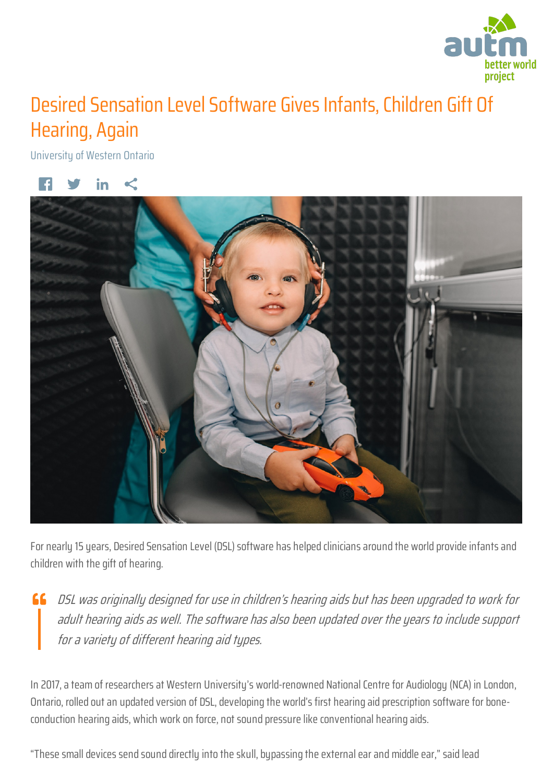

## Desired Sensation Level Software Gives Infants, Children Gift Of Hearing, Again

University of Western Ontario



For nearly 15 years, Desired Sensation Level (DSL) software has helped clinicians around the world provide infants and children with the gift of hearing.

**66** DSL was originally designed for use in children's hearing aids but has been upgraded to work for adult hearing aids as well. The software has also been updated over the years to include support for a variety of different hearing aid types.

In 2017, a team of researchers at Western University's world-renowned National Centre for Audiology (NCA) in London, Ontario, rolled out an updated version of DSL, developing the world's first hearing aid prescription software for boneconduction hearing aids, which work on force, not sound pressure like conventional hearing aids.

"These small devices send sound directly into the skull, bypassing the external ear and middle ear," said lead